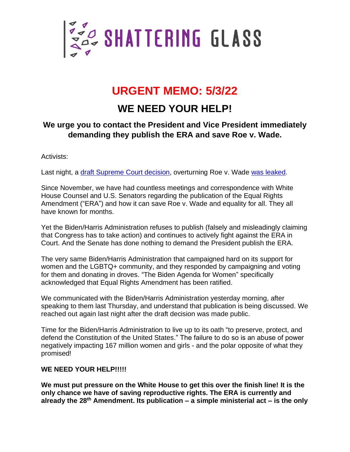

# **URGENT MEMO: 5/3/22**

## **WE NEED YOUR HELP!**

### **We urge you to contact the President and Vice President immediately demanding they publish the ERA and save Roe v. Wade.**

Activists:

Last night, a [draft Supreme](https://www.politico.com/news/2022/05/02/read-justice-alito-initial-abortion-opinion-overturn-roe-v-wade-pdf-00029504) Court decision, overturning Roe v. Wade [was leaked.](https://www.politico.com/news/2022/05/02/supreme-court-abortion-draft-opinion-00029473)

Since November, we have had countless meetings and correspondence with White House Counsel and U.S. Senators regarding the publication of the Equal Rights Amendment ("ERA") and how it can save Roe v. Wade and equality for all. They all have known for months.

Yet the Biden/Harris Administration refuses to publish (falsely and misleadingly claiming that Congress has to take action) and continues to actively fight against the ERA in Court. And the Senate has done nothing to demand the President publish the ERA.

The very same Biden/Harris Administration that campaigned hard on its support for women and the LGBTQ+ community, and they responded by campaigning and voting for them and donating in droves. "The Biden Agenda for Women" specifically acknowledged that Equal Rights Amendment has been ratified.

We communicated with the Biden/Harris Administration yesterday morning, after speaking to them last Thursday, and understand that publication is being discussed. We reached out again last night after the draft decision was made public.

Time for the Biden/Harris Administration to live up to its oath "to preserve, protect, and defend the Constitution of the United States." The failure to do so is an abuse of power negatively impacting 167 million women and girls - and the polar opposite of what they promised!

#### WE NEED YOUR HELP!!!!!

**We must put pressure on the White House to get this over the finish line! It is the only chance we have of saving reproductive rights. The ERA is currently and already the 28th Amendment. Its publication – a simple ministerial act – is the only**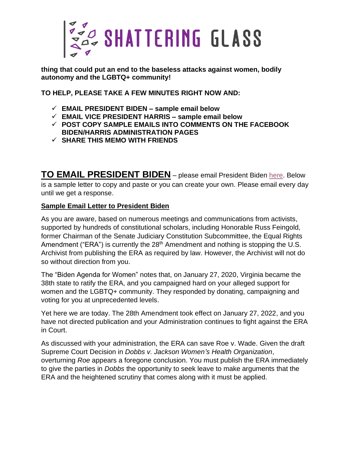

**thing that could put an end to the baseless attacks against women, bodily autonomy and the LGBTQ+ community!**

**TO HELP, PLEASE TAKE A FEW MINUTES RIGHT NOW AND:**

- ✓ **EMAIL PRESIDENT BIDEN – sample email below**
- ✓ **EMAIL VICE PRESIDENT HARRIS – sample email below**
- ✓ **POST COPY SAMPLE EMAILS INTO COMMENTS ON THE FACEBOOK BIDEN/HARRIS ADMINISTRATION PAGES**
- ✓ **SHARE THIS MEMO WITH FRIENDS**

**TO EMAIL PRESIDENT BIDEN** – please email President Biden [here.](https://www.whitehouse.gov/contact/) Below is a sample letter to copy and paste or you can create your own. Please email every day until we get a response.

#### **Sample Email Letter to President Biden**

As you are aware, based on numerous meetings and communications from activists, supported by hundreds of constitutional scholars, including Honorable Russ Feingold, former Chairman of the Senate Judiciary Constitution Subcommittee, the Equal Rights Amendment ("ERA") is currently the 28<sup>th</sup> Amendment and nothing is stopping the U.S. Archivist from publishing the ERA as required by law. However, the Archivist will not do so without direction from you.

The "Biden Agenda for Women" notes that, on January 27, 2020, Virginia became the 38th state to ratify the ERA, and you campaigned hard on your alleged support for women and the LGBTQ+ community. They responded by donating, campaigning and voting for you at unprecedented levels.

Yet here we are today. The 28th Amendment took effect on January 27, 2022, and you have not directed publication and your Administration continues to fight against the ERA in Court.

As discussed with your administration, the ERA can save Roe v. Wade. Given the draft Supreme Court Decision in *Dobbs v. Jackson Women's Health Organization*, overturning *Roe* appears a foregone conclusion. You must publish the ERA immediately to give the parties in *Dobbs* the opportunity to seek leave to make arguments that the ERA and the heightened scrutiny that comes along with it must be applied.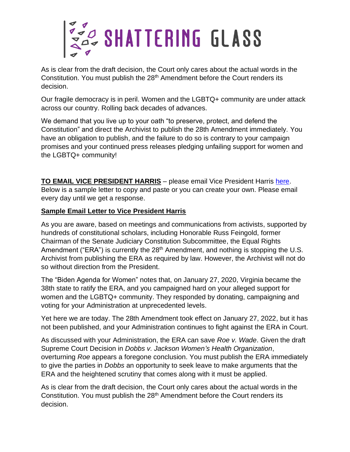

As is clear from the draft decision, the Court only cares about the actual words in the Constitution. You must publish the 28<sup>th</sup> Amendment before the Court renders its decision.

Our fragile democracy is in peril. Women and the LGBTQ+ community are under attack across our country. Rolling back decades of advances.

We demand that you live up to your oath "to preserve, protect, and defend the Constitution" and direct the Archivist to publish the 28th Amendment immediately. You have an obligation to publish, and the failure to do so is contrary to your campaign promises and your continued press releases pledging unfailing support for women and the LGBTQ+ community!

**TO EMAIL VICE PRESIDENT HARRIS** – please email Vice President Harris [here.](https://www.whitehouse.gov/contact/) Below is a sample letter to copy and paste or you can create your own. Please email every day until we get a response.

#### **Sample Email Letter to Vice President Harris**

As you are aware, based on meetings and communications from activists, supported by hundreds of constitutional scholars, including Honorable Russ Feingold, former Chairman of the Senate Judiciary Constitution Subcommittee, the Equal Rights Amendment ("ERA") is currently the 28<sup>th</sup> Amendment, and nothing is stopping the U.S. Archivist from publishing the ERA as required by law. However, the Archivist will not do so without direction from the President.

The "Biden Agenda for Women" notes that, on January 27, 2020, Virginia became the 38th state to ratify the ERA, and you campaigned hard on your alleged support for women and the LGBTQ+ community. They responded by donating, campaigning and voting for your Administration at unprecedented levels.

Yet here we are today. The 28th Amendment took effect on January 27, 2022, but it has not been published, and your Administration continues to fight against the ERA in Court.

As discussed with your Administration, the ERA can save *Roe v. Wade*. Given the draft Supreme Court Decision in *Dobbs v. Jackson Women's Health Organization*, overturning *Roe* appears a foregone conclusion. You must publish the ERA immediately to give the parties in *Dobbs* an opportunity to seek leave to make arguments that the ERA and the heightened scrutiny that comes along with it must be applied.

As is clear from the draft decision, the Court only cares about the actual words in the Constitution. You must publish the 28<sup>th</sup> Amendment before the Court renders its decision.